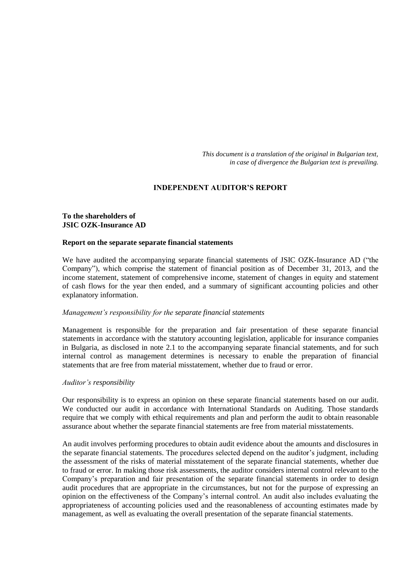*This document is a translation of the original in Bulgarian text, in case of divergence the Bulgarian text is prevailing.*

# **INDEPENDENT AUDITOR'S REPORT**

# **To the shareholders of JSIC OZK-Insurance AD**

### **Report on the separate separate financial statements**

We have audited the accompanying separate financial statements of JSIC OZK-Insurance AD ("the Company"), which comprise the statement of financial position as of December 31, 2013, and the income statement, statement of comprehensive income, statement of changes in equity and statement of cash flows for the year then ended, and a summary of significant accounting policies and other explanatory information.

#### *Management's responsibility for the separate financial statements*

Management is responsible for the preparation and fair presentation of these separate financial statements in accordance with the statutory accounting legislation, applicable for insurance companies in Bulgaria, as disclosed in note 2.1 to the accompanying separate financial statements, and for such internal control as management determines is necessary to enable the preparation of financial statements that are free from material misstatement, whether due to fraud or error.

#### *Auditor's responsibility*

Our responsibility is to express an opinion on these separate financial statements based on our audit. We conducted our audit in accordance with International Standards on Auditing. Those standards require that we comply with ethical requirements and plan and perform the audit to obtain reasonable assurance about whether the separate financial statements are free from material misstatements.

An audit involves performing procedures to obtain audit evidence about the amounts and disclosures in the separate financial statements. The procedures selected depend on the auditor's judgment, including the assessment of the risks of material misstatement of the separate financial statements, whether due to fraud or error. In making those risk assessments, the auditor considers internal control relevant to the Company's preparation and fair presentation of the separate financial statements in order to design audit procedures that are appropriate in the circumstances, but not for the purpose of expressing an opinion on the effectiveness of the Company's internal control. An audit also includes evaluating the appropriateness of accounting policies used and the reasonableness of accounting estimates made by management, as well as evaluating the overall presentation of the separate financial statements.